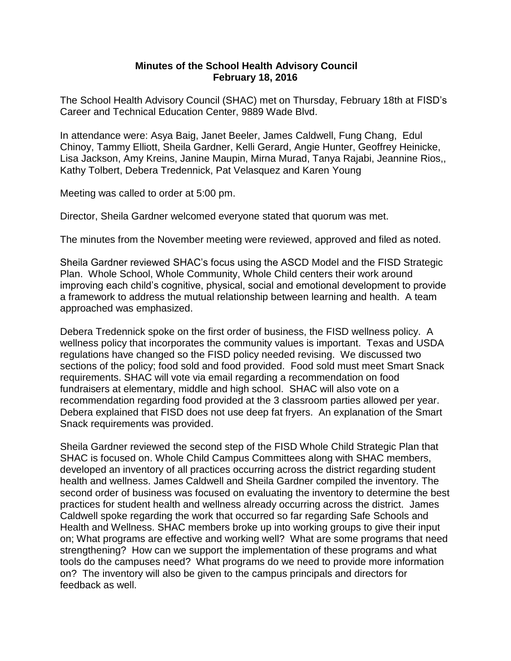## **Minutes of the School Health Advisory Council February 18, 2016**

The School Health Advisory Council (SHAC) met on Thursday, February 18th at FISD's Career and Technical Education Center, 9889 Wade Blvd.

In attendance were: Asya Baig, Janet Beeler, James Caldwell, Fung Chang, Edul Chinoy, Tammy Elliott, Sheila Gardner, Kelli Gerard, Angie Hunter, Geoffrey Heinicke, Lisa Jackson, Amy Kreins, Janine Maupin, Mirna Murad, Tanya Rajabi, Jeannine Rios,, Kathy Tolbert, Debera Tredennick, Pat Velasquez and Karen Young

Meeting was called to order at 5:00 pm.

Director, Sheila Gardner welcomed everyone stated that quorum was met.

The minutes from the November meeting were reviewed, approved and filed as noted.

Sheila Gardner reviewed SHAC's focus using the ASCD Model and the FISD Strategic Plan. Whole School, Whole Community, Whole Child centers their work around improving each child's cognitive, physical, social and emotional development to provide a framework to address the mutual relationship between learning and health. A team approached was emphasized.

Debera Tredennick spoke on the first order of business, the FISD wellness policy. A wellness policy that incorporates the community values is important. Texas and USDA regulations have changed so the FISD policy needed revising. We discussed two sections of the policy; food sold and food provided. Food sold must meet Smart Snack requirements. SHAC will vote via email regarding a recommendation on food fundraisers at elementary, middle and high school. SHAC will also vote on a recommendation regarding food provided at the 3 classroom parties allowed per year. Debera explained that FISD does not use deep fat fryers. An explanation of the Smart Snack requirements was provided.

Sheila Gardner reviewed the second step of the FISD Whole Child Strategic Plan that SHAC is focused on. Whole Child Campus Committees along with SHAC members, developed an inventory of all practices occurring across the district regarding student health and wellness. James Caldwell and Sheila Gardner compiled the inventory. The second order of business was focused on evaluating the inventory to determine the best practices for student health and wellness already occurring across the district. James Caldwell spoke regarding the work that occurred so far regarding Safe Schools and Health and Wellness. SHAC members broke up into working groups to give their input on; What programs are effective and working well? What are some programs that need strengthening? How can we support the implementation of these programs and what tools do the campuses need? What programs do we need to provide more information on? The inventory will also be given to the campus principals and directors for feedback as well.